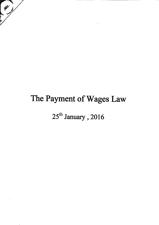# The Payment of Wages Law

# $25^{\text{th}}$  January, 2016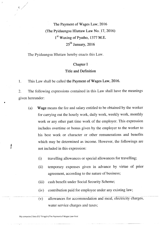The Payment of Wages Law; 2016 (The Pyidaungsu Hluttaw Law No. 17, 2016)  $1<sup>st</sup>$  Waxing of Pyatho, 1377 M.E.  $25<sup>th</sup>$  January, 2016

The Pyidaungsu Hluttaw hereby enacts this Law.

 $\frac{1}{2}$ 

#### Chapter I

#### Title and Definition

1. This Law shall be called the Payment of Wages Law, 2016.

2. The following expressions contained in this Law shall have the meanings given hereunder:

- (a) Wage means the fee and salary entitled to be obtained by the worker for carrying out the hourly work, daily work, weekly work, monthly work or any other part time work of the employer. This expression includes overtime or bonus given by the employer to the worker to his best work or character or other remunerations and benefits which may be determined as income. However, the followings are not included in this expression:
	- (i) travelling allowances or special allowances for travelling;
	- (ii) temporary expenses given in advance by virtue of prior agreement, according to the nature of business;
	- (iii) cash benefit under Social Security Scheme;
	- (iv) contribution paid for employee under any existing law;
	- $(v)$  allowances for accommodation and meal, electricity charges, water service charges and taxes;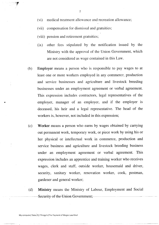- (vi) medical treatment allowance and recreation allowance;
- (vii) compensation for dismissal and gratuities;
- (viii) pension and retirement gratuities;
- $(ix)$  other fees stipulated by the notification issued by the Ministry with the approval of the Union Government, which are not considered as wage contained in this Law.
- (b) Employer means a person who is responsible to pay wages to at least one or more workers employed in any commerce, production and service businesses and agriculture and livestock breeding businesses under an employment agreement or verbal agreement. This expression includes contractors, legal representatives of the employer, manager of an employer, and if the employer is deceased, his heir and a legal representative. The head of the workers is, however, not included in this expression;
- (c) Worker means a person who earns by wages obtained by carrying out permanent work, temporary work, or piece work by using his or her physical or intellectual work in commerce, production and service business and agriculture and livestock breeding business under an employment agreement or verbal agreement. This expression includes an apprentice and training worker who receives wages, clerk and staff, outside worker, housemaid and driver, security, sanitary worker, renovation worker, cook, postman, gardener and general worker;
- (d) Ministry means the Ministry of Labour, Employment and Social Security of the Union Government;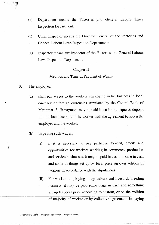- (e) Department means the Factories and General Labour Laws Inspection Department;
- Chief Inspector means the Director General of the Factories and General Labour Laws Inspection Department;  $(f)$
- Inspector means any inspector of the Factories and General Labour Laws Inspection Department. (e)

#### Chapter II

#### Methods and Time of Payment of Wages

3. The employer:

 $\mathbf{r}$ 

- (a) shall pay wages to the workers employing in his business in local currency or foreign currencies stipulated by the Central Bank of Myanmar. Such payment may be paid in cash or cheque or deposit into the bank account of the worker with the agreement between the employer and the worker.
- (b) In paying such wages:
	- if it is necessary to pay particular benefit, profits and opportunities for workers working in commerce, production and service businesses, it may be paid in cash or some in cash and some in things set up by local price on own volition of workers in accordance with the stipulations. (i)
	- (ii) For workers employing in agriculture and livestock breeding business, it may be paid some wage in cash and something set up by local price according to custom, or on the volition of majority of worker or by collective agreement. In paying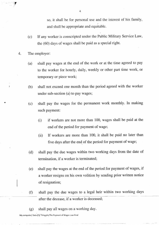so, it shall be for personal use and the interest of his family, and shall be appropriate and equitable.

- (c) If any worker is conscripted under the Public Military Service Law, the (60) days of wages shall be paid as a special right.
- 4. The employer:

T

- (a) shall pay wages at the end of the work or at the time agreed to pay to the worker for hourly, daily, weekly or other part time work, or temporary or piece work;
- (b) shall not exceed one month than the period agreed with the worker under sub-section (a) to paY wages;
- (c) shall pay the wages for the permanent work monthly. In making such payment:
	- (i) if workers are not more than 100, wages shall be paid at the end of the period for payment of wage;
	- (ii) If workers are more than 100, it shall be paid no later than five days after the end of the period for payment of wage;
- (d) shall pay the due wages within two working days from the date of termination, if a worker is terminated;
- (e) shall pay the wages at the end of the period for payment of wages, if a worker resigns on his own volition by sending prior written notice of resignation;
- (f) shall pay the due wages to a legal heir within two working days after the decease, if a worker is deceased;
- (g) shall pay all wages on a working day.

My computer/ Data (F)/ Thingylin/The Payment of Wages Law-Final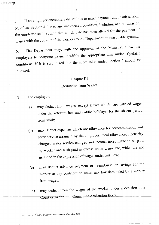If an employer encounters difficulties to make payment under sub-section 5. (c) of the Section 4 due to any unexpected condition, including natural disaster, the employer shall submit that which date has been altered for the payment of wages with the consent of the workers to the Department on reasonable ground.

The Department may, with the approval of the Ministry, allow the 6. employers to postpone payment within the appropriate time under stipulated conditions, if it is scrutinized that the submission under Section 5 should be allowed.

### Chapter III Deduction from Wages

- The employer: 7.
	- may deduct from wages, except leaves which are entitled wages  $(a)$ under the relevant law and public holidays, for the absent period from work;
	- may deduct expenses which are allowance for accommodation and  $(b)$ ferry service arranged by the employer, meal allowance, electricity charges, water service charges and income taxes liable to be paid by worker and cash paid in excess under a mistake, which are not included in the expression of wages under this Law;
	- may deduct advance payment or reimburse or savings for the  $(c)$ worker or any contribution under any law demanded by a worker from wages;
	- may deduct from the wages of the worker under a decision of a  $(d)$ Court or Arbitration Council or Arbitration Body.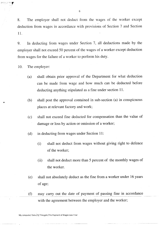8. The empioyer shall not deduct from the wages of the worker except deduction from wages in accordance with provisions of Section 7 and Section 11.

9. In deducting from wages under Section J, all deductions made by the employer shall not exceed 50 percent of the wages of a worker except deduction from wages for the failure of a worker to perform his duty.

10. The empioyer:

 $\mathfrak{p}$  , ii  $\mathfrak{p}$  ,  $\mathfrak{p}$  ,  $\mathfrak{p}$  ,  $\mathfrak{p}$  ,  $\mathfrak{p}$  ,  $\mathfrak{p}$  ,  $\mathfrak{p}$  ,  $\mathfrak{p}$ 

- (a) shall obtain prior approval of the Department for what deduction can be made from wage and how much can be deducted before deducting anything stipulated as a fine under section 11.
- (b) shall post the approval contained in sub-section (a) in conspicuous places at relevant factory and work;
- (c) shall not exceed fine deducted for compensation than the value of damage or loss by action or omission of a worker;
- (d) in deducting from wages under Section 11:
	- (i) shall not deduct from.wages without giving right to defence of the worker;
	- (ii) shal1 not deduct more than 5 percent of the monthly wages of the worker.
- (e) shall not absolutely deduct as the fine from a worker under 16 years of age;
- (f) may carry out the date of payment of passing fine in accordance with the agreement between the employer and the worker;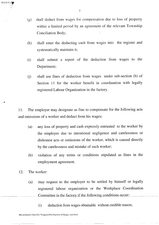- (g) shall deduct from wages for compensation due to loss of property within a limited period by an agreement of the relevant Township Conciliation Body;
- (h) shall enter the deducting cash from wages into the register and systematically maintain it;
- (i) shall submit a report of the deduction from wages to the Department;
- 0) sha1l use fines of deduction from wages under sub-section (b) of Section 11 for the worker benefit in coordination with legally registered Labour Organization in the factory.

11. The employer may designate as fine to compensate for the following acts and omissions of a worker and deduct from his wages:

- (a) any loss of property and cash expressly entrusted to the worker by the employer due to intentional negligence and carelessness or dishonest acts or omissions of the worker, which is caused directly by the carelessness and mistake of such worker;
- (b) violation of any terms or conditions stipulated as fines in the employment agreement.
- 12. The worker:

 $\blacksquare$ 

- (a) may request to the employer to be settled by himself or legally registered labour organization or the Workplace Coordination Committee in the factory if the following conditions occur;
	- (i) deduction from wages obtainable without credible reason;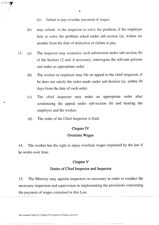(ii) failure to pay overdue payment of wages.

i ":'?

- (b) may submit to the inspector to solve the problem, if the employer fails to solve the problem asked under sub-section (a), within six months from the date of deduction or failure to pay.
- 13. (a) The inspector rnay scrutinize such submission under sub-section (b) of the Section 12 and, if necessary, interrogate the relevant persons and make an appropriate order.
	- (b) The worker or employer may file an appeal to the chief inspector, if he does not satisfy the order made under sub-Section (a), within 30 days from the date of such order.
	- (c) The chief inspector may make an appropriate order after scrutinizing the appeal under sub-section (b) and hearing the employer and the worker.
	- (d) The order of the Chief Inspector is final.

#### Chapter IV

#### Overtime Wages

14. The worker has the right to enjoy overtime wages stipulated by the law if he works over time.

#### Chapter V

#### Duties of Chief Inspector and Inspector

15. The Ministry may appoint inspectors as necessary in order to conduct the necessary inspection and supervision in implementing the provisions concerning the payment of wages contained in this Law.

My computer/ Data (F)/ Thingylin/The Payment of Wages Law-Final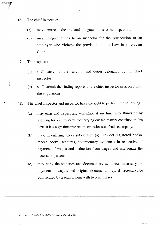16. The chief inspector:

lrr'.:..i'.':Elr

 $\left\{ \right.$ 

- may demarcate the area and delegate duties to the inspectors; (a)
- may delegate duties to an inspector for the prosecution of an employer who violates the provision in this Law in a relevant Court. (b)
- The inspector: 17.
	- shall carry out the function and duties delegated by the chief inspector; (a)
	- shall submit the finding reports to the chief inspector in accord with the stipulations. (b)
- 18. The chief inspector and inspector have the right to perforrn the following:
	- may enter and inspect any workplace at any time, if he thinks fit, by showing his identity card, for canying out the matters contained in this Law. If it is night time inspection, two witnesses shall accompany; (a)
	- may, in entering under sub-section (a), inspect registered books, record books, accounts, documentary evidences in respective of payment of wages and deduction from wages and interrogate the necessary persons; (b)
	- may copy the statistics and documentary evidences necessary for payment of wages, and original documents may, if necessary, be confiscated by a search form with two witnesses. (c)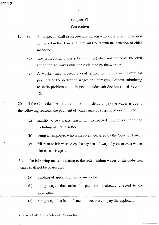## Chapter VI

#### Prosecution

- 19. (a) An inspector shall prosecute any person who violates any provision contained in this Law at a relevant Court with the sanction of chief inspector.
	- (b) The prosecution under sub-section (a) shall not prejudice the civil action for the wages obtainable claimed by the worker;
	- (c) A worker may prosecute civil action to the relevant Court for payment of the deducting wages and damages, without submitting to settle problem to an inspector under sub-Section (b) of Section 12.

' 20. If the Court decides that the omission or delay to pay the wages is due to the following reasons, the payment of wages may be suspended or exempted:

- (a) inability to pay wages, arisen in unexpected emergency condition including natural disaster;
- (b) being an employer who is insolvent declared by the Court of Law;
- (c) failure to withdraw or accept the payment of wages by the relevant worker himself or his agent.

21. The following matters relating to the redemanding wages or the deducting wages shall not be prosecuted:

- (a) pending of application to the inspector;
- (b) being wages that order for payment is already directed to the applicant;
- (c) being wage that is confirmed unnecessary to pay the applicant.

 $\cdots$ 

'i10

My computer/ Data (F)/ Thingylin/The Payment of Wages Law-Final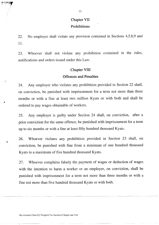### Chapter VII Prohibitions

22. 11. No employer shall violate any provision contained in Sections 4,5,8,9 and

23. Whoever shall not violate any prohibition contained in the rules, notifications and orders issued under this Law.

#### Chapter VIII

#### Offences and Penalties

24. Any employer who violates any prohibition provided in Section 22 shall, on conviction, be punished with imprisonment for a term not more than three months or with a fine at least two million Kyats or with both and shall be ordered to pay wages obtainable of workers.

25. Any employer is guilty under Section 24 shall, on conviction, after <sup>a</sup> prior conviction for the same offence, be punished with imprisonment for a term up to six months or with a fine at least fifty hundred thousand Kyats.

26. Whoever violates any prohibition provided in Section 23 shall, on conviction, be punished with fine from a minimum of one hundred thousand Kyats to a maximum of five hundred thousand Kyats.

27. Whoever complains falsely the payment of wages or deduction of wages with the intention to harm a worker or an employer, on conviction, shall be punished with imprisonment for a term not more than three months or with <sup>a</sup> fine not more than five hundred thousand Kyats or with both.

11

Þ.